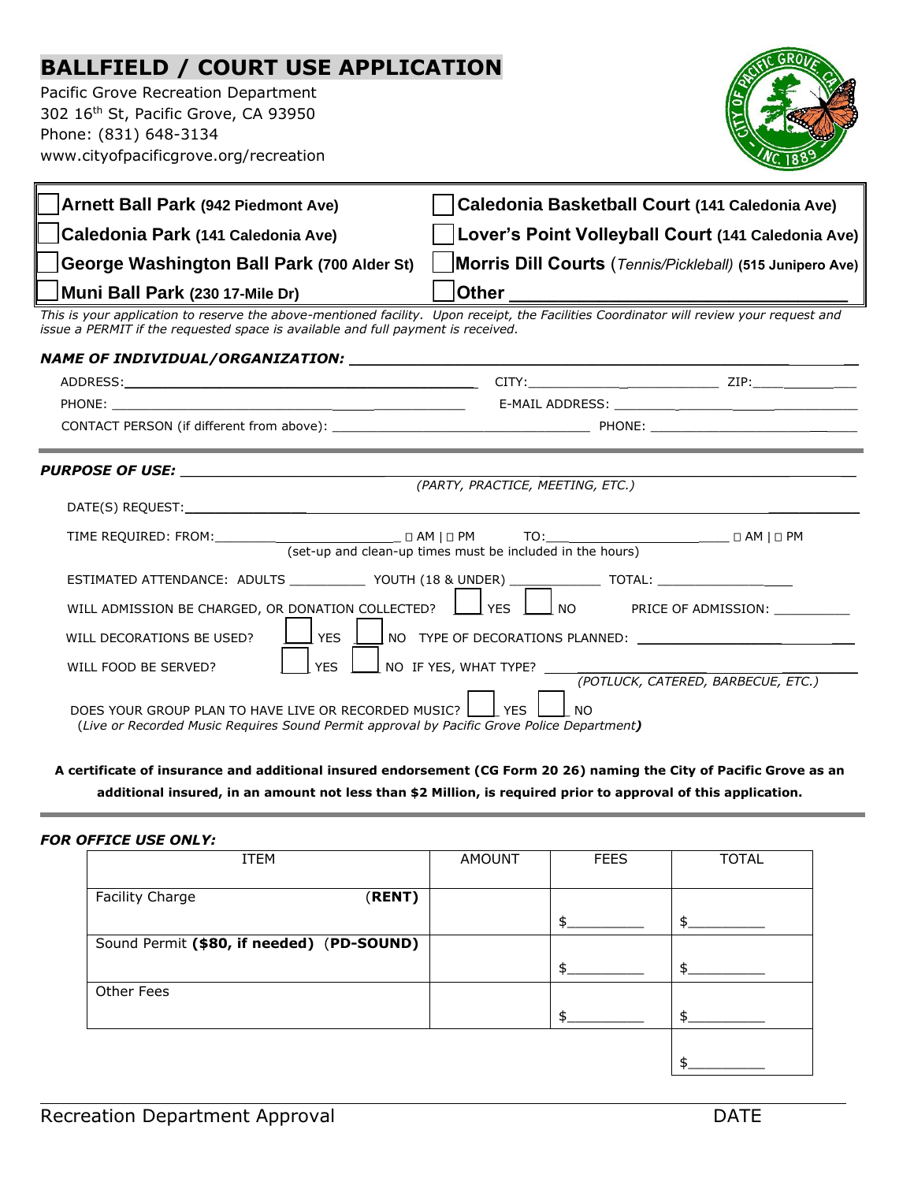## **BALLFIELD / COURT USE APPLICATION**

Pacific Grove Recreation Department 302 16th St, Pacific Grove, CA 93950 Phone: (831) 648-3134 www.cityofpacificgrove.org/recreation



| Arnett Ball Park (942 Piedmont Ave)                                              | Caledonia Basketball Court (141 Caledonia Ave)                                                                                          |
|----------------------------------------------------------------------------------|-----------------------------------------------------------------------------------------------------------------------------------------|
| Caledonia Park (141 Caledonia Ave)                                               | <b>Lover's Point Volleyball Court (141 Caledonia Ave)</b>                                                                               |
| George Washington Ball Park (700 Alder St)                                       | Morris Dill Courts (Tennis/Pickleball) (515 Junipero Ave)                                                                               |
| Muni Ball Park (230 17-Mile Dr)                                                  | <b>Other</b>                                                                                                                            |
| issue a PERMIT if the requested space is available and full payment is received. | This is your application to reserve the above-mentioned facility. Upon receipt, the Facilities Coordinator will review your request and |

| (PARTY, PRACTICE, MEETING, ETC.)                                  |                                                                                                                                                                                                                                                                                                         |                                    |  |  |
|-------------------------------------------------------------------|---------------------------------------------------------------------------------------------------------------------------------------------------------------------------------------------------------------------------------------------------------------------------------------------------------|------------------------------------|--|--|
|                                                                   |                                                                                                                                                                                                                                                                                                         |                                    |  |  |
|                                                                   | (set-up and clean-up times must be included in the hours)                                                                                                                                                                                                                                               |                                    |  |  |
| WILL DECORATIONS BE USED?<br><b>I</b> YES<br>WILL FOOD BE SERVED? | ESTIMATED ATTENDANCE: ADULTS _____________ YOUTH (18 & UNDER) ______________ TOTAL: ________________<br>WILL ADMISSION BE CHARGED, OR DONATION COLLECTED? $\Box$ YES $\Box$ NO PRICE OF ADMISSION:<br>$\Box$ YES $\Box$ NO TYPE OF DECORATIONS PLANNED: $\Box$<br>$\perp$ no if yes, what type? $\perp$ |                                    |  |  |
| DOES YOUR GROUP PLAN TO HAVE LIVE OR RECORDED MUSIC? $\Box$ YES   | $\overline{1}$ NO<br>(Live or Recorded Music Requires Sound Permit approval by Pacific Grove Police Department)                                                                                                                                                                                         | (POTLUCK, CATERED, BARBECUE, ETC.) |  |  |

**A certificate of insurance and additional insured endorsement (CG Form 20 26) naming the City of Pacific Grove as an additional insured, in an amount not less than \$2 Million, is required prior to approval of this application.**

## *FOR OFFICE USE ONLY:*

| ITEM                                      | <b>AMOUNT</b> | <b>FEES</b> | <b>TOTAL</b> |
|-------------------------------------------|---------------|-------------|--------------|
| Facility Charge<br>(RENT)                 |               |             |              |
|                                           |               | \$          | \$           |
| Sound Permit (\$80, if needed) (PD-SOUND) |               |             |              |
|                                           |               | \$          | ፍ            |
| Other Fees                                |               |             |              |
|                                           |               | ¢           | ፋ            |
|                                           |               |             |              |
|                                           |               |             | c            |